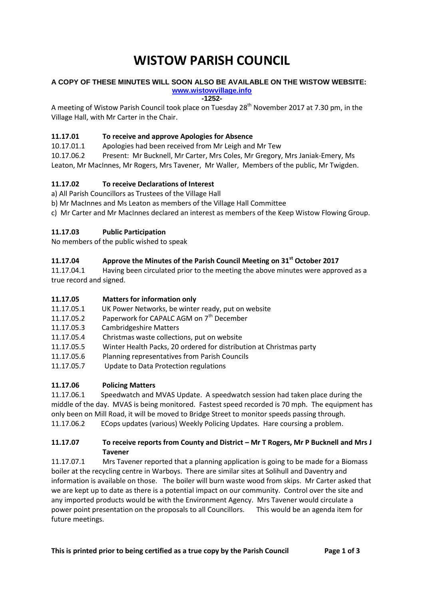# **WISTOW PARISH COUNCIL**

#### **A COPY OF THESE MINUTES WILL SOON ALSO BE AVAILABLE ON THE WISTOW WEBSITE: [www.wistowvillage.info](http://www.wistowvillage.info/)**

**-1252-**

A meeting of Wistow Parish Council took place on Tuesday 28<sup>th</sup> November 2017 at 7.30 pm, in the Village Hall, with Mr Carter in the Chair.

# **11.17.01 To receive and approve Apologies for Absence**

10.17.01.1 Apologies had been received from Mr Leigh and Mr Tew

10.17.06.2 Present: Mr Bucknell, Mr Carter, Mrs Coles, Mr Gregory, Mrs Janiak-Emery, Ms Leaton, Mr MacInnes, Mr Rogers, Mrs Tavener, Mr Waller, Members of the public, Mr Twigden.

# **11.17.02 To receive Declarations of Interest**

a) All Parish Councillors as Trustees of the Village Hall

b) Mr MacInnes and Ms Leaton as members of the Village Hall Committee

c) Mr Carter and Mr MacInnes declared an interest as members of the Keep Wistow Flowing Group.

## **11.17.03 Public Participation**

No members of the public wished to speak

# **11.17.04 Approve the Minutes of the Parish Council Meeting on 31st October 2017**

11.17.04.1 Having been circulated prior to the meeting the above minutes were approved as a true record and signed.

#### **11.17.05 Matters for information only**

- 11.17.05.1 UK Power Networks, be winter ready, put on website
- 11.17.05.2 Paperwork for CAPALC AGM on  $7<sup>th</sup>$  December
- 11.17.05.3 Cambridgeshire Matters
- 11.17.05.4 Christmas waste collections, put on website
- 11.17.05.5 Winter Health Packs, 20 ordered for distribution at Christmas party
- 11.17.05.6 Planning representatives from Parish Councils
- 11.17.05.7 Update to Data Protection regulations

## **11.17.06 Policing Matters**

11.17.06.1 Speedwatch and MVAS Update. A speedwatch session had taken place during the middle of the day. MVAS is being monitored. Fastest speed recorded is 70 mph. The equipment has only been on Mill Road, it will be moved to Bridge Street to monitor speeds passing through. 11.17.06.2 ECops updates (various) Weekly Policing Updates. Hare coursing a problem.

## **11.17.07 To receive reports from County and District – Mr T Rogers, Mr P Bucknell and Mrs J Tavener**

11.17.07.1 Mrs Tavener reported that a planning application is going to be made for a Biomass boiler at the recycling centre in Warboys. There are similar sites at Solihull and Daventry and information is available on those. The boiler will burn waste wood from skips. Mr Carter asked that we are kept up to date as there is a potential impact on our community. Control over the site and any imported products would be with the Environment Agency. Mrs Tavener would circulate a power point presentation on the proposals to all Councillors. This would be an agenda item for future meetings.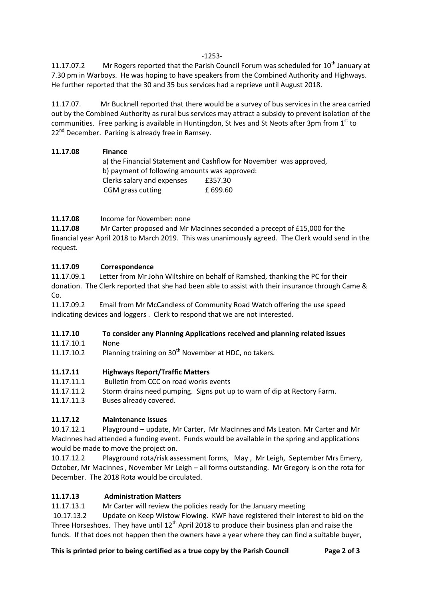11.17.07.2 Mr Rogers reported that the Parish Council Forum was scheduled for 10<sup>th</sup> January at 7.30 pm in Warboys. He was hoping to have speakers from the Combined Authority and Highways. He further reported that the 30 and 35 bus services had a reprieve until August 2018.

11.17.07. Mr Bucknell reported that there would be a survey of bus services in the area carried out by the Combined Authority as rural bus services may attract a subsidy to prevent isolation of the communities. Free parking is available in Huntingdon, St Ives and St Neots after 3pm from 1st to 22<sup>nd</sup> December. Parking is already free in Ramsey.

## **11.17.08 Finance**

a) the Financial Statement and Cashflow for November was approved, b) payment of following amounts was approved: Clerks salary and expenses £357.30 CGM grass cutting E 699.60

# **11.17.08** Income for November: none

**11.17.08** Mr Carter proposed and Mr MacInnes seconded a precept of £15,000 for the financial year April 2018 to March 2019. This was unanimously agreed. The Clerk would send in the request.

# **11.17.09 Correspondence**

11.17.09.1 Letter from Mr John Wiltshire on behalf of Ramshed, thanking the PC for their donation. The Clerk reported that she had been able to assist with their insurance through Came & Co.

11.17.09.2 Email from Mr McCandless of Community Road Watch offering the use speed indicating devices and loggers . Clerk to respond that we are not interested.

## **11.17.10 To consider any Planning Applications received and planning related issues**

11.17.10.1 None

11.17.10.2 Planning training on  $30<sup>th</sup>$  November at HDC, no takers.

## **11.17.11 Highways Report/Traffic Matters**

- 11.17.11.1 Bulletin from CCC on road works events
- 11.17.11.2 Storm drains need pumping. Signs put up to warn of dip at Rectory Farm.
- 11.17.11.3 Buses already covered.

## **11.17.12 Maintenance Issues**

10.17.12.1 Playground – update, Mr Carter, Mr MacInnes and Ms Leaton. Mr Carter and Mr MacInnes had attended a funding event. Funds would be available in the spring and applications would be made to move the project on.

10.17.12.2 Playground rota/risk assessment forms, May , Mr Leigh, September Mrs Emery, October, Mr MacInnes , November Mr Leigh – all forms outstanding. Mr Gregory is on the rota for December. The 2018 Rota would be circulated.

## **11.17.13 Administration Matters**

11.17.13.1 Mr Carter will review the policies ready for the January meeting

10.17.13.2 Update on Keep Wistow Flowing. KWF have registered their interest to bid on the Three Horseshoes. They have until  $12<sup>th</sup>$  April 2018 to produce their business plan and raise the funds. If that does not happen then the owners have a year where they can find a suitable buyer.

#### **This is printed prior to being certified as a true copy by the Parish Council Page 2 of 3**